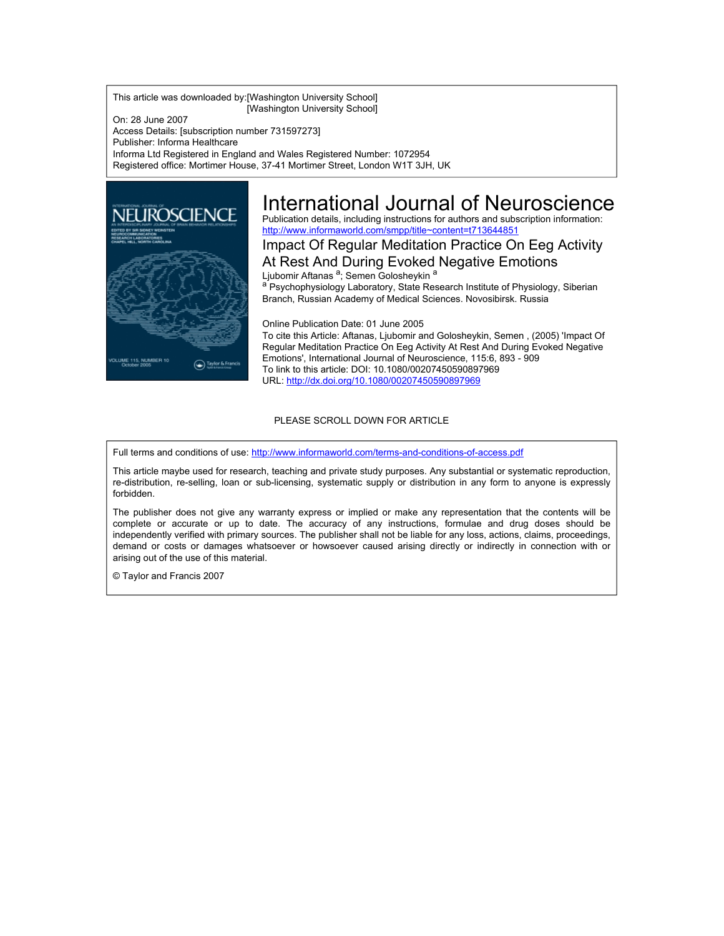This article was downloaded by:[Washington University School] [Washington University School]

On: 28 June 2007 Access Details: [subscription number 731597273] Publisher: Informa Healthcare Informa Ltd Registered in England and Wales Registered Number: 1072954 Registered office: Mortimer House, 37-41 Mortimer Street, London W1T 3JH, UK



# International Journal of Neuroscience

Publication details, including instructions for authors and subscription information: <http://www.informaworld.com/smpp/title~content=t713644851>

Impact Of Regular Meditation Practice On Eeg Activity At Rest And During Evoked Negative Emotions

Ljubomir Aftanas <sup>a</sup>; Semen Golosheykin a a Psychophysiology Laboratory, State Research Institute of Physiology, Siberian Branch, Russian Academy of Medical Sciences. Novosibirsk. Russia

Online Publication Date: 01 June 2005 To cite this Article: Aftanas, Ljubomir and Golosheykin, Semen , (2005) 'Impact Of Regular Meditation Practice On Eeg Activity At Rest And During Evoked Negative Emotions', International Journal of Neuroscience, 115:6, 893 - 909 To link to this article: DOI: 10.1080/00207450590897969 URL: <http://dx.doi.org/10.1080/00207450590897969>

## PLEASE SCROLL DOWN FOR ARTICLE

Full terms and conditions of use: <http://www.informaworld.com/terms-and-conditions-of-access.pdf>

This article maybe used for research, teaching and private study purposes. Any substantial or systematic reproduction, re-distribution, re-selling, loan or sub-licensing, systematic supply or distribution in any form to anyone is expressly forbidden.

The publisher does not give any warranty express or implied or make any representation that the contents will be complete or accurate or up to date. The accuracy of any instructions, formulae and drug doses should be independently verified with primary sources. The publisher shall not be liable for any loss, actions, claims, proceedings, demand or costs or damages whatsoever or howsoever caused arising directly or indirectly in connection with or arising out of the use of this material.

© Taylor and Francis 2007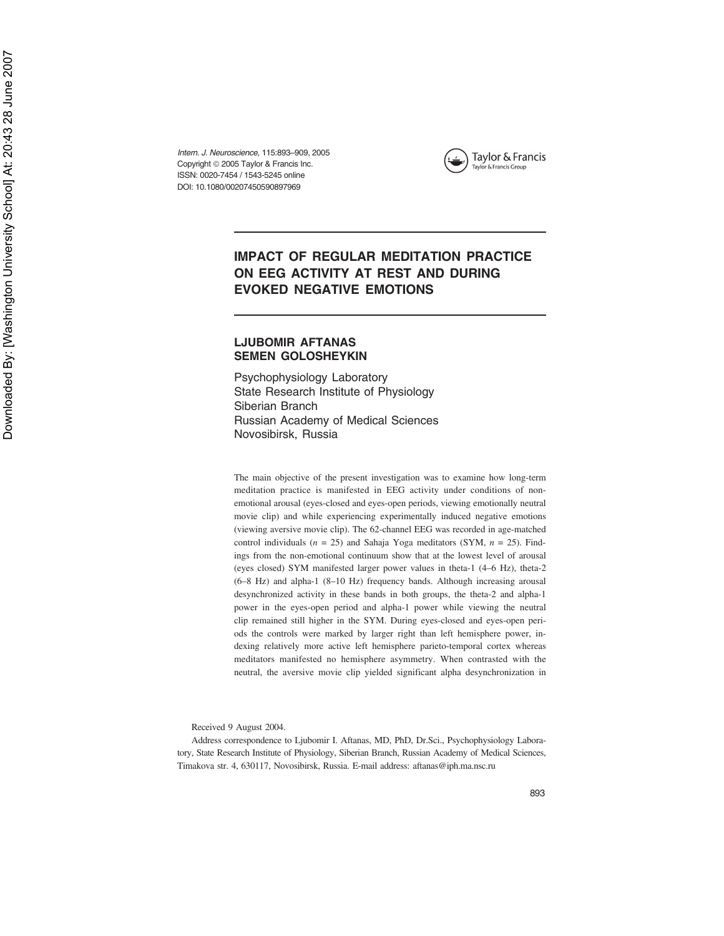Intern. J. Neuroscience, 115:893–909, 2005 Copyright © 2005 Taylor & Francis Inc. ISSN: 0020-7454 / 1543-5245 online DOI: 10.1080/00207450590897969



## **IMPACT OF REGULAR MEDITATION PRACTICE ON EEG ACTIVITY AT REST AND DURING EVOKED NEGATIVE EMOTIONS**

## **LJUBOMIR AFTANAS SEMEN GOLOSHEYKIN**

Psychophysiology Laboratory State Research Institute of Physiology Siberian Branch Russian Academy of Medical Sciences Novosibirsk, Russia

The main objective of the present investigation was to examine how long-term meditation practice is manifested in EEG activity under conditions of nonemotional arousal (eyes-closed and eyes-open periods, viewing emotionally neutral movie clip) and while experiencing experimentally induced negative emotions (viewing aversive movie clip). The 62-channel EEG was recorded in age-matched control individuals  $(n = 25)$  and Sahaja Yoga meditators (SYM,  $n = 25$ ). Findings from the non-emotional continuum show that at the lowest level of arousal (eyes closed) SYM manifested larger power values in theta-1 (4–6 Hz), theta-2 (6–8 Hz) and alpha-1 (8–10 Hz) frequency bands. Although increasing arousal desynchronized activity in these bands in both groups, the theta-2 and alpha-1 power in the eyes-open period and alpha-1 power while viewing the neutral clip remained still higher in the SYM. During eyes-closed and eyes-open periods the controls were marked by larger right than left hemisphere power, indexing relatively more active left hemisphere parieto-temporal cortex whereas meditators manifested no hemisphere asymmetry. When contrasted with the neutral, the aversive movie clip yielded significant alpha desynchronization in

Received 9 August 2004.

Address correspondence to Ljubomir I. Aftanas, MD, PhD, Dr.Sci., Psychophysiology Laboratory, State Research Institute of Physiology, Siberian Branch, Russian Academy of Medical Sciences, Timakova str. 4, 630117, Novosibirsk, Russia. E-mail address: aftanas@iph.ma.nsc.ru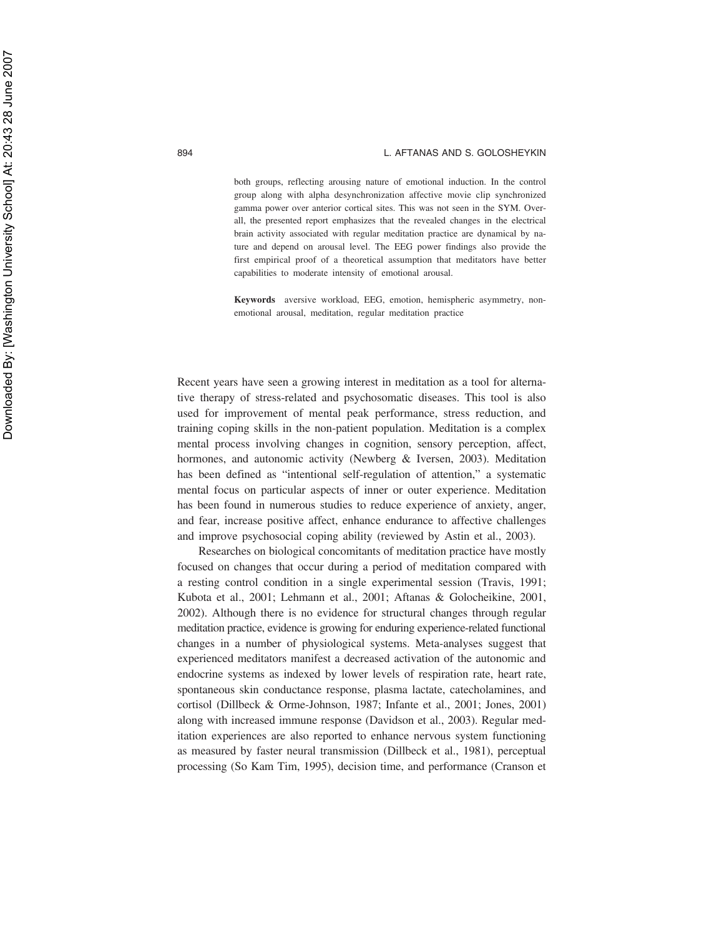both groups, reflecting arousing nature of emotional induction. In the control group along with alpha desynchronization affective movie clip synchronized gamma power over anterior cortical sites. This was not seen in the SYM. Overall, the presented report emphasizes that the revealed changes in the electrical brain activity associated with regular meditation practice are dynamical by nature and depend on arousal level. The EEG power findings also provide the first empirical proof of a theoretical assumption that meditators have better capabilities to moderate intensity of emotional arousal.

**Keywords** aversive workload, EEG, emotion, hemispheric asymmetry, nonemotional arousal, meditation, regular meditation practice

Recent years have seen a growing interest in meditation as a tool for alternative therapy of stress-related and psychosomatic diseases. This tool is also used for improvement of mental peak performance, stress reduction, and training coping skills in the non-patient population. Meditation is a complex mental process involving changes in cognition, sensory perception, affect, hormones, and autonomic activity (Newberg & Iversen, 2003). Meditation has been defined as "intentional self-regulation of attention," a systematic mental focus on particular aspects of inner or outer experience. Meditation has been found in numerous studies to reduce experience of anxiety, anger, and fear, increase positive affect, enhance endurance to affective challenges and improve psychosocial coping ability (reviewed by Astin et al., 2003).

Researches on biological concomitants of meditation practice have mostly focused on changes that occur during a period of meditation compared with a resting control condition in a single experimental session (Travis, 1991; Kubota et al., 2001; Lehmann et al., 2001; Aftanas & Golocheikine, 2001, 2002). Although there is no evidence for structural changes through regular meditation practice, evidence is growing for enduring experience-related functional changes in a number of physiological systems. Meta-analyses suggest that experienced meditators manifest a decreased activation of the autonomic and endocrine systems as indexed by lower levels of respiration rate, heart rate, spontaneous skin conductance response, plasma lactate, catecholamines, and cortisol (Dillbeck & Orme-Johnson, 1987; Infante et al., 2001; Jones, 2001) along with increased immune response (Davidson et al., 2003). Regular meditation experiences are also reported to enhance nervous system functioning as measured by faster neural transmission (Dillbeck et al., 1981), perceptual processing (So Kam Tim, 1995), decision time, and performance (Cranson et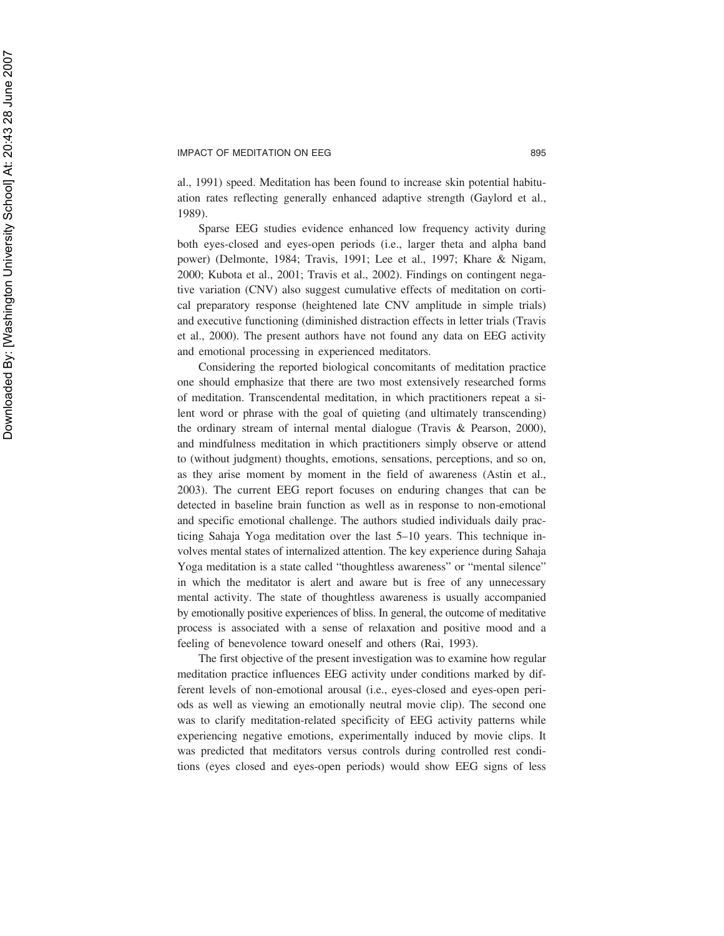al., 1991) speed. Meditation has been found to increase skin potential habituation rates reflecting generally enhanced adaptive strength (Gaylord et al., 1989).

Sparse EEG studies evidence enhanced low frequency activity during both eyes-closed and eyes-open periods (i.e., larger theta and alpha band power) (Delmonte, 1984; Travis, 1991; Lee et al., 1997; Khare & Nigam, 2000; Kubota et al., 2001; Travis et al., 2002). Findings on contingent negative variation (CNV) also suggest cumulative effects of meditation on cortical preparatory response (heightened late CNV amplitude in simple trials) and executive functioning (diminished distraction effects in letter trials (Travis et al., 2000). The present authors have not found any data on EEG activity and emotional processing in experienced meditators.

Considering the reported biological concomitants of meditation practice one should emphasize that there are two most extensively researched forms of meditation. Transcendental meditation, in which practitioners repeat a silent word or phrase with the goal of quieting (and ultimately transcending) the ordinary stream of internal mental dialogue (Travis & Pearson, 2000), and mindfulness meditation in which practitioners simply observe or attend to (without judgment) thoughts, emotions, sensations, perceptions, and so on, as they arise moment by moment in the field of awareness (Astin et al., 2003). The current EEG report focuses on enduring changes that can be detected in baseline brain function as well as in response to non-emotional and specific emotional challenge. The authors studied individuals daily practicing Sahaja Yoga meditation over the last 5–10 years. This technique involves mental states of internalized attention. The key experience during Sahaja Yoga meditation is a state called "thoughtless awareness" or "mental silence" in which the meditator is alert and aware but is free of any unnecessary mental activity. The state of thoughtless awareness is usually accompanied by emotionally positive experiences of bliss. In general, the outcome of meditative process is associated with a sense of relaxation and positive mood and a feeling of benevolence toward oneself and others (Rai, 1993).

The first objective of the present investigation was to examine how regular meditation practice influences EEG activity under conditions marked by different levels of non-emotional arousal (i.e., eyes-closed and eyes-open periods as well as viewing an emotionally neutral movie clip). The second one was to clarify meditation-related specificity of EEG activity patterns while experiencing negative emotions, experimentally induced by movie clips. It was predicted that meditators versus controls during controlled rest conditions (eyes closed and eyes-open periods) would show EEG signs of less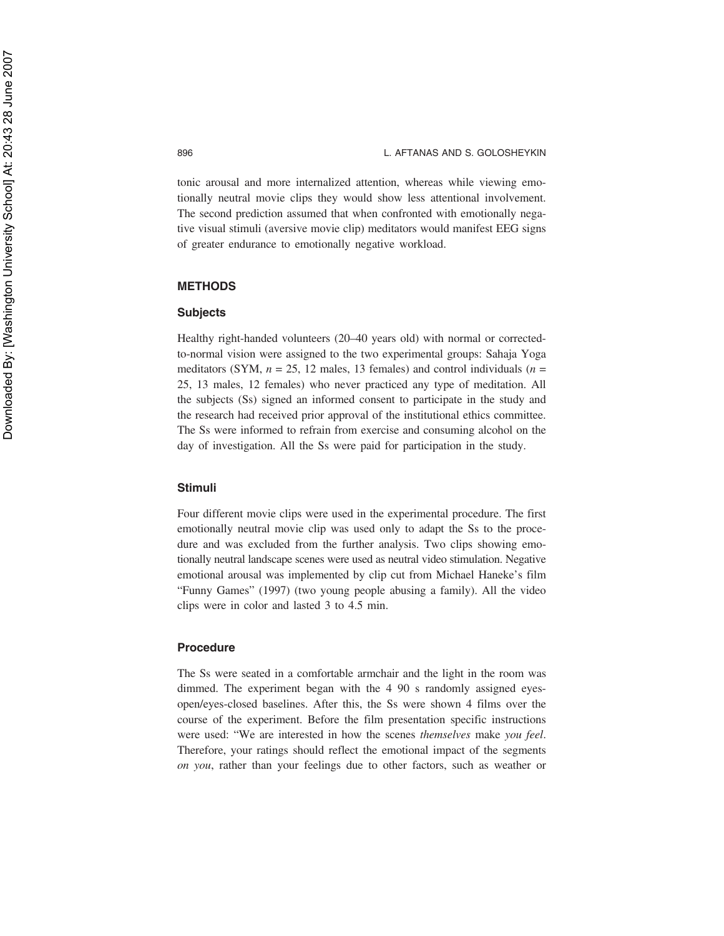tonic arousal and more internalized attention, whereas while viewing emotionally neutral movie clips they would show less attentional involvement. The second prediction assumed that when confronted with emotionally negative visual stimuli (aversive movie clip) meditators would manifest EEG signs of greater endurance to emotionally negative workload.

## **METHODS**

## **Subjects**

Healthy right-handed volunteers (20–40 years old) with normal or correctedto-normal vision were assigned to the two experimental groups: Sahaja Yoga meditators (SYM,  $n = 25$ , 12 males, 13 females) and control individuals ( $n =$ 25, 13 males, 12 females) who never practiced any type of meditation. All the subjects (Ss) signed an informed consent to participate in the study and the research had received prior approval of the institutional ethics committee. The Ss were informed to refrain from exercise and consuming alcohol on the day of investigation. All the Ss were paid for participation in the study.

## **Stimuli**

Four different movie clips were used in the experimental procedure. The first emotionally neutral movie clip was used only to adapt the Ss to the procedure and was excluded from the further analysis. Two clips showing emotionally neutral landscape scenes were used as neutral video stimulation. Negative emotional arousal was implemented by clip cut from Michael Haneke's film "Funny Games" (1997) (two young people abusing a family). All the video clips were in color and lasted 3 to 4.5 min.

## **Procedure**

The Ss were seated in a comfortable armchair and the light in the room was dimmed. The experiment began with the 4 90 s randomly assigned eyesopen/eyes-closed baselines. After this, the Ss were shown 4 films over the course of the experiment. Before the film presentation specific instructions were used: "We are interested in how the scenes *themselves* make *you feel*. Therefore, your ratings should reflect the emotional impact of the segments *on you*, rather than your feelings due to other factors, such as weather or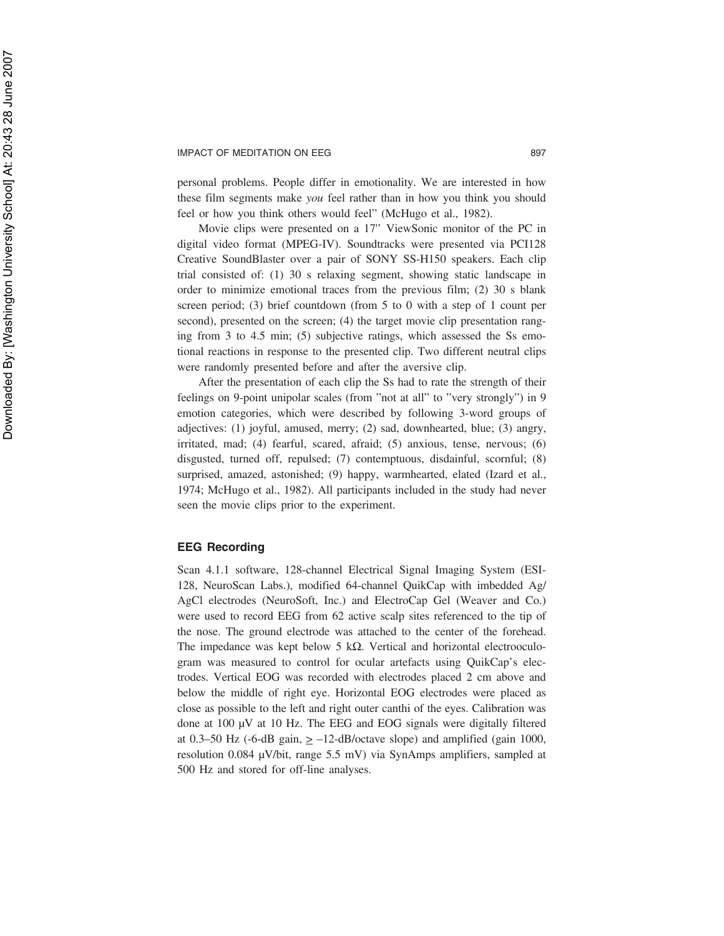personal problems. People differ in emotionality. We are interested in how these film segments make *you* feel rather than in how you think you should feel or how you think others would feel" (McHugo et al., 1982).

Movie clips were presented on a 17'' ViewSonic monitor of the PC in digital video format (MPEG-IV). Soundtracks were presented via PCI128 Creative SoundBlaster over a pair of SONY SS-H150 speakers. Each clip trial consisted of: (1) 30 s relaxing segment, showing static landscape in order to minimize emotional traces from the previous film; (2) 30 s blank screen period; (3) brief countdown (from 5 to 0 with a step of 1 count per second), presented on the screen; (4) the target movie clip presentation ranging from 3 to 4.5 min; (5) subjective ratings, which assessed the Ss emotional reactions in response to the presented clip. Two different neutral clips were randomly presented before and after the aversive clip.

After the presentation of each clip the Ss had to rate the strength of their feelings on 9-point unipolar scales (from "not at all" to "very strongly") in 9 emotion categories, which were described by following 3-word groups of adjectives: (1) joyful, amused, merry; (2) sad, downhearted, blue; (3) angry, irritated, mad; (4) fearful, scared, afraid; (5) anxious, tense, nervous; (6) disgusted, turned off, repulsed; (7) contemptuous, disdainful, scornful; (8) surprised, amazed, astonished; (9) happy, warmhearted, elated (Izard et al., 1974; McHugo et al., 1982). All participants included in the study had never seen the movie clips prior to the experiment.

## **EEG Recording**

Scan 4.1.1 software, 128-channel Electrical Signal Imaging System (ESI-128, NeuroScan Labs.), modified 64-channel QuikCap with imbedded Ag/ AgCl electrodes (NeuroSoft, Inc.) and ElectroCap Gel (Weaver and Co.) were used to record EEG from 62 active scalp sites referenced to the tip of the nose. The ground electrode was attached to the center of the forehead. The impedance was kept below 5 kΩ. Vertical and horizontal electrooculogram was measured to control for ocular artefacts using QuikCap's electrodes. Vertical EOG was recorded with electrodes placed 2 cm above and below the middle of right eye. Horizontal EOG electrodes were placed as close as possible to the left and right outer canthi of the eyes. Calibration was done at 100 µV at 10 Hz. The EEG and EOG signals were digitally filtered at 0.3–50 Hz (-6-dB gain,  $> -12$ -dB/octave slope) and amplified (gain 1000, resolution 0.084 µV/bit, range 5.5 mV) via SynAmps amplifiers, sampled at 500 Hz and stored for off-line analyses.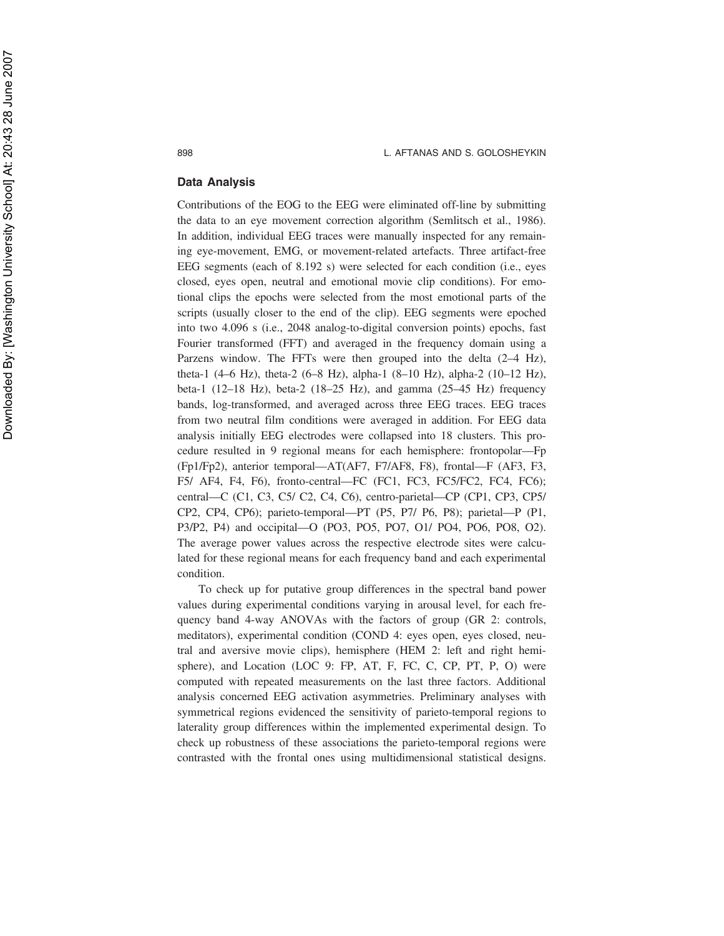## **Data Analysis**

Contributions of the EOG to the EEG were eliminated off-line by submitting the data to an eye movement correction algorithm (Semlitsch et al., 1986). In addition, individual EEG traces were manually inspected for any remaining eye-movement, EMG, or movement-related artefacts. Three artifact-free EEG segments (each of 8.192 s) were selected for each condition (i.e., eyes closed, eyes open, neutral and emotional movie clip conditions). For emotional clips the epochs were selected from the most emotional parts of the scripts (usually closer to the end of the clip). EEG segments were epoched into two 4.096 s (i.e., 2048 analog-to-digital conversion points) epochs, fast Fourier transformed (FFT) and averaged in the frequency domain using a Parzens window. The FFTs were then grouped into the delta  $(2-4$  Hz), theta-1 (4–6 Hz), theta-2 (6–8 Hz), alpha-1 (8–10 Hz), alpha-2 (10–12 Hz), beta-1 (12–18 Hz), beta-2 (18–25 Hz), and gamma (25–45 Hz) frequency bands, log-transformed, and averaged across three EEG traces. EEG traces from two neutral film conditions were averaged in addition. For EEG data analysis initially EEG electrodes were collapsed into 18 clusters. This procedure resulted in 9 regional means for each hemisphere: frontopolar—Fp (Fp1/Fp2), anterior temporal—AT(AF7, F7/AF8, F8), frontal—F (AF3, F3, F5/ AF4, F4, F6), fronto-central—FC (FC1, FC3, FC5/FC2, FC4, FC6); central—C (C1, C3, C5/ C2, C4, C6), centro-parietal—CP (CP1, CP3, CP5/ CP2, CP4, CP6); parieto-temporal—PT (P5, P7/ P6, P8); parietal—P (P1, P3/P2, P4) and occipital—O (PO3, PO5, PO7, O1/ PO4, PO6, PO8, O2). The average power values across the respective electrode sites were calculated for these regional means for each frequency band and each experimental condition.

To check up for putative group differences in the spectral band power values during experimental conditions varying in arousal level, for each frequency band 4-way ANOVAs with the factors of group (GR 2: controls, meditators), experimental condition (COND 4: eyes open, eyes closed, neutral and aversive movie clips), hemisphere (HEM 2: left and right hemisphere), and Location (LOC 9: FP, AT, F, FC, C, CP, PT, P, O) were computed with repeated measurements on the last three factors. Additional analysis concerned EEG activation asymmetries. Preliminary analyses with symmetrical regions evidenced the sensitivity of parieto-temporal regions to laterality group differences within the implemented experimental design. To check up robustness of these associations the parieto-temporal regions were contrasted with the frontal ones using multidimensional statistical designs.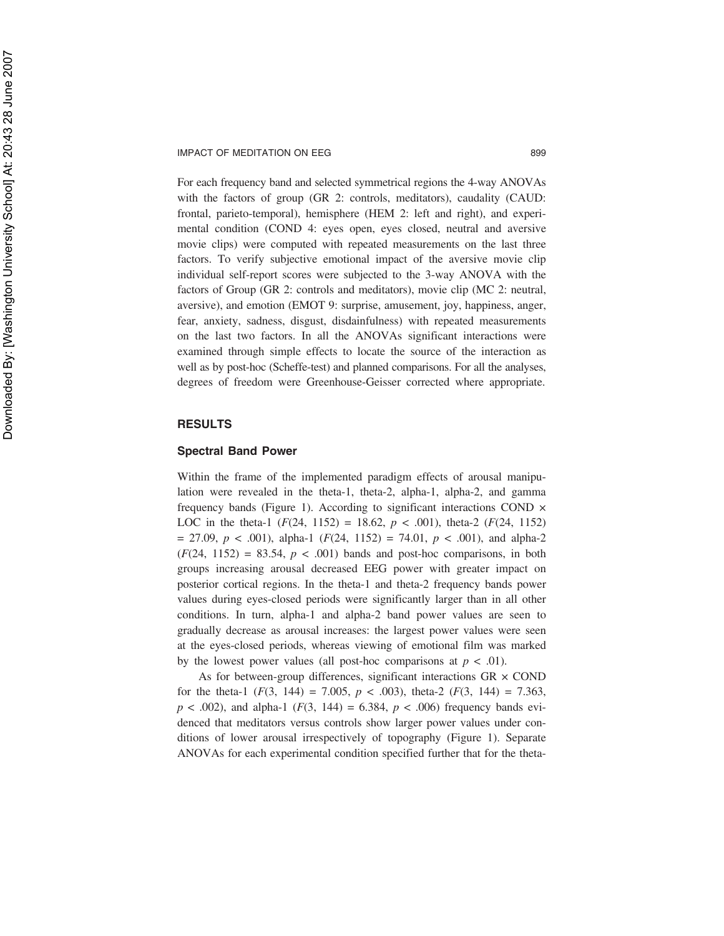For each frequency band and selected symmetrical regions the 4-way ANOVAs with the factors of group (GR 2: controls, meditators), caudality (CAUD: frontal, parieto-temporal), hemisphere (HEM 2: left and right), and experimental condition (COND 4: eyes open, eyes closed, neutral and aversive movie clips) were computed with repeated measurements on the last three factors. To verify subjective emotional impact of the aversive movie clip individual self-report scores were subjected to the 3-way ANOVA with the factors of Group (GR 2: controls and meditators), movie clip (MC 2: neutral, aversive), and emotion (EMOT 9: surprise, amusement, joy, happiness, anger, fear, anxiety, sadness, disgust, disdainfulness) with repeated measurements on the last two factors. In all the ANOVAs significant interactions were examined through simple effects to locate the source of the interaction as well as by post-hoc (Scheffe-test) and planned comparisons. For all the analyses, degrees of freedom were Greenhouse-Geisser corrected where appropriate.

## **RESULTS**

## **Spectral Band Power**

Within the frame of the implemented paradigm effects of arousal manipulation were revealed in the theta-1, theta-2, alpha-1, alpha-2, and gamma frequency bands (Figure 1). According to significant interactions COND × LOC in the theta-1  $(F(24, 1152) = 18.62, p < .001)$ , theta-2  $(F(24, 1152)$  $= 27.09, p < .001$ , alpha-1 ( $F(24, 1152) = 74.01, p < .001$ ), and alpha-2  $(F(24, 1152) = 83.54, p < .001)$  bands and post-hoc comparisons, in both groups increasing arousal decreased EEG power with greater impact on posterior cortical regions. In the theta-1 and theta-2 frequency bands power values during eyes-closed periods were significantly larger than in all other conditions. In turn, alpha-1 and alpha-2 band power values are seen to gradually decrease as arousal increases: the largest power values were seen at the eyes-closed periods, whereas viewing of emotional film was marked by the lowest power values (all post-hoc comparisons at  $p < .01$ ).

As for between-group differences, significant interactions  $GR \times COND$ for the theta-1  $(F(3, 144) = 7.005, p < .003)$ , theta-2  $(F(3, 144) = 7.363,$  $p < .002$ ), and alpha-1 ( $F(3, 144) = 6.384$ ,  $p < .006$ ) frequency bands evidenced that meditators versus controls show larger power values under conditions of lower arousal irrespectively of topography (Figure 1). Separate ANOVAs for each experimental condition specified further that for the theta-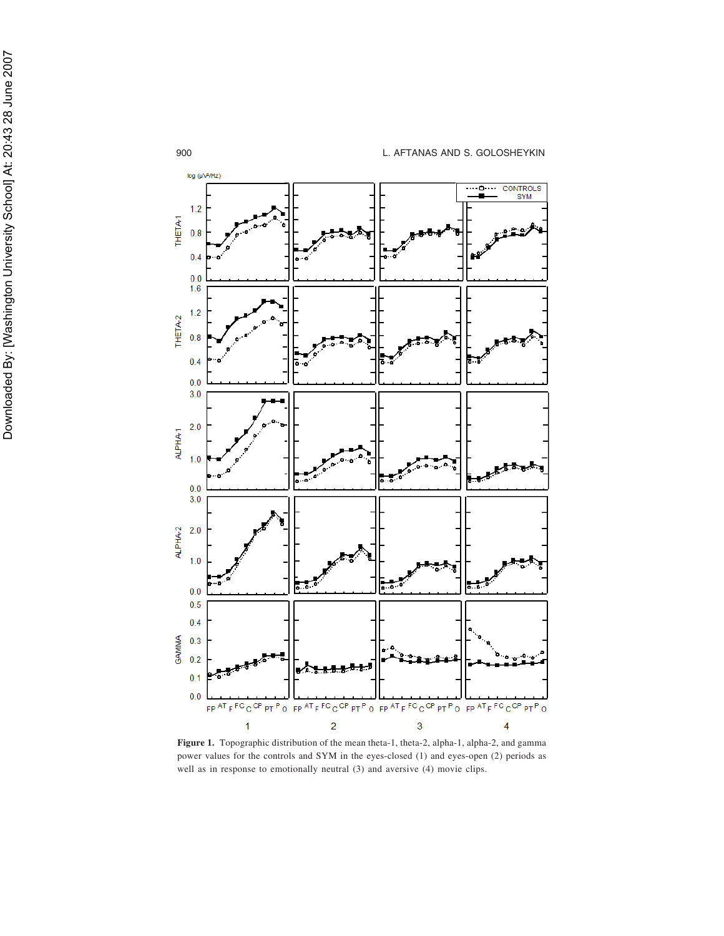

**Figure 1.** Topographic distribution of the mean theta-1, theta-2, alpha-1, alpha-2, and gamma power values for the controls and SYM in the eyes-closed (1) and eyes-open (2) periods as well as in response to emotionally neutral (3) and aversive (4) movie clips.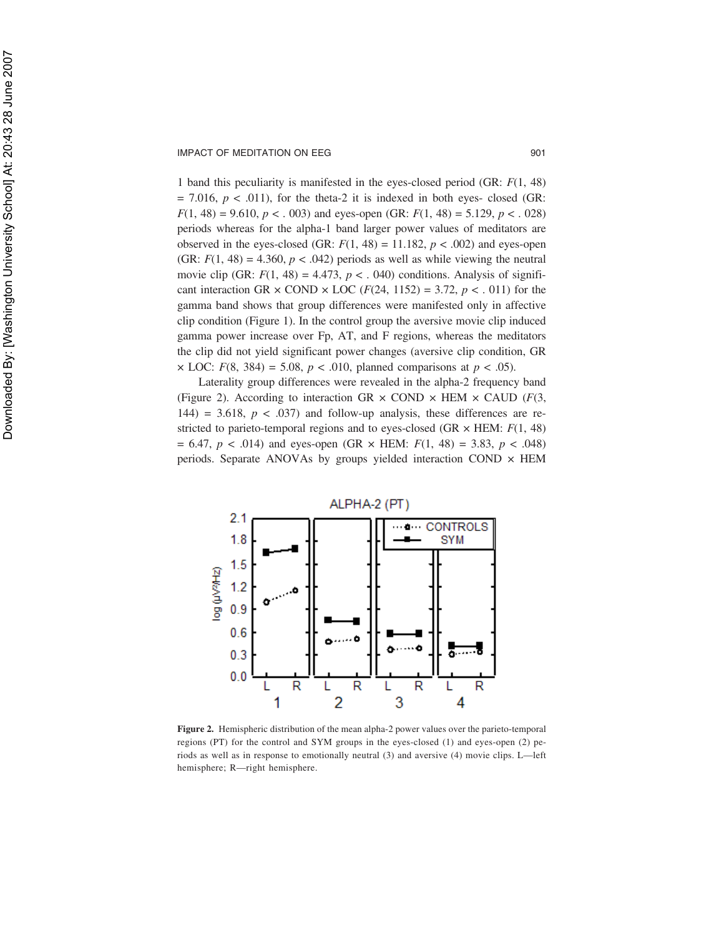1 band this peculiarity is manifested in the eyes-closed period (GR: *F*(1, 48)  $= 7.016$ ,  $p < .011$ ), for the theta-2 it is indexed in both eyes- closed (GR: *F*(1, 48) = 9.610,  $p < .003$ ) and eyes-open (GR: *F*(1, 48) = 5.129,  $p < .028$ ) periods whereas for the alpha-1 band larger power values of meditators are observed in the eyes-closed (GR:  $F(1, 48) = 11.182$ ,  $p < .002$ ) and eyes-open (GR:  $F(1, 48) = 4.360$ ,  $p < .042$ ) periods as well as while viewing the neutral movie clip (GR:  $F(1, 48) = 4.473$ ,  $p < .040$ ) conditions. Analysis of significant interaction GR  $\times$  COND  $\times$  LOC (*F*(24, 1152) = 3.72, *p* < . 011) for the gamma band shows that group differences were manifested only in affective clip condition (Figure 1). In the control group the aversive movie clip induced gamma power increase over Fp, AT, and F regions, whereas the meditators the clip did not yield significant power changes (aversive clip condition, GR  $\times$  LOC: *F*(8, 384) = 5.08, *p* < .010, planned comparisons at *p* < .05).

Laterality group differences were revealed in the alpha-2 frequency band (Figure 2). According to interaction GR  $\times$  COND  $\times$  HEM  $\times$  CAUD (*F*(3, 144) = 3.618,  $p < .037$  and follow-up analysis, these differences are restricted to parieto-temporal regions and to eyes-closed (GR × HEM: *F*(1, 48)  $= 6.47, p < .014$  and eyes-open (GR  $\times$  HEM:  $F(1, 48) = 3.83, p < .048$ ) periods. Separate ANOVAs by groups yielded interaction COND  $\times$  HEM



**Figure 2.** Hemispheric distribution of the mean alpha-2 power values over the parieto-temporal regions (PT) for the control and SYM groups in the eyes-closed (1) and eyes-open (2) periods as well as in response to emotionally neutral (3) and aversive (4) movie clips. L—left hemisphere; R—right hemisphere.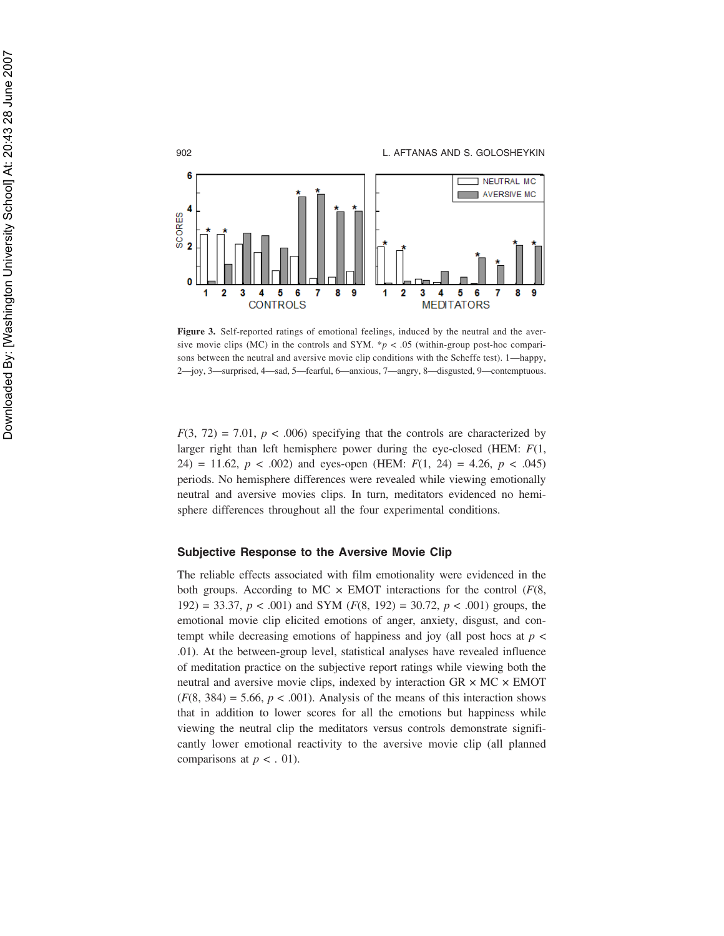

Figure 3. Self-reported ratings of emotional feelings, induced by the neutral and the aversive movie clips (MC) in the controls and SYM.  $\sp{*}p$  < .05 (within-group post-hoc comparisons between the neutral and aversive movie clip conditions with the Scheffe test). 1—happy, 2—joy, 3—surprised, 4—sad, 5—fearful, 6—anxious, 7—angry, 8—disgusted, 9—contemptuous.

 $F(3, 72) = 7.01$ ,  $p < .006$ ) specifying that the controls are characterized by larger right than left hemisphere power during the eye-closed (HEM: *F*(1, 24) = 11.62,  $p < .002$ ) and eyes-open (HEM:  $F(1, 24) = 4.26$ ,  $p < .045$ ) periods. No hemisphere differences were revealed while viewing emotionally neutral and aversive movies clips. In turn, meditators evidenced no hemisphere differences throughout all the four experimental conditions.

## **Subjective Response to the Aversive Movie Clip**

The reliable effects associated with film emotionality were evidenced in the both groups. According to MC  $\times$  EMOT interactions for the control ( $F(8)$ , 192) = 33.37,  $p < .001$ ) and SYM ( $F(8, 192) = 30.72$ ,  $p < .001$ ) groups, the emotional movie clip elicited emotions of anger, anxiety, disgust, and contempt while decreasing emotions of happiness and joy (all post hocs at  $p <$ .01). At the between-group level, statistical analyses have revealed influence of meditation practice on the subjective report ratings while viewing both the neutral and aversive movie clips, indexed by interaction  $GR \times MC \times EMOT$  $(F(8, 384) = 5.66, p < .001)$ . Analysis of the means of this interaction shows that in addition to lower scores for all the emotions but happiness while viewing the neutral clip the meditators versus controls demonstrate significantly lower emotional reactivity to the aversive movie clip (all planned comparisons at  $p < .01$ ).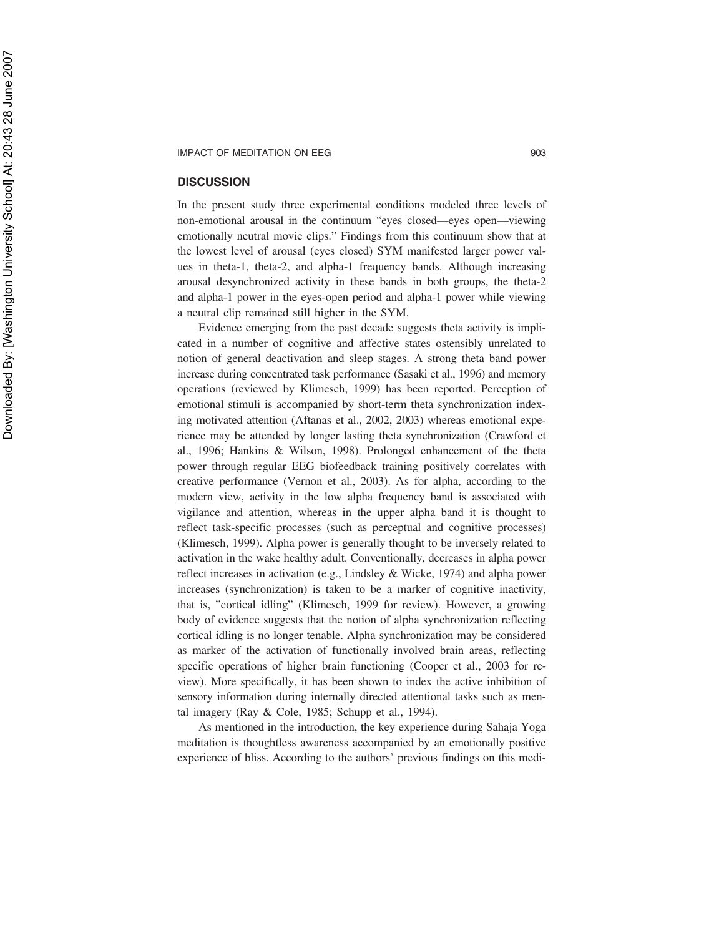## **DISCUSSION**

In the present study three experimental conditions modeled three levels of non-emotional arousal in the continuum "eyes closed—eyes open—viewing emotionally neutral movie clips." Findings from this continuum show that at the lowest level of arousal (eyes closed) SYM manifested larger power values in theta-1, theta-2, and alpha-1 frequency bands. Although increasing arousal desynchronized activity in these bands in both groups, the theta-2 and alpha-1 power in the eyes-open period and alpha-1 power while viewing a neutral clip remained still higher in the SYM.

Evidence emerging from the past decade suggests theta activity is implicated in a number of cognitive and affective states ostensibly unrelated to notion of general deactivation and sleep stages. A strong theta band power increase during concentrated task performance (Sasaki et al., 1996) and memory operations (reviewed by Klimesch, 1999) has been reported. Perception of emotional stimuli is accompanied by short-term theta synchronization indexing motivated attention (Aftanas et al., 2002, 2003) whereas emotional experience may be attended by longer lasting theta synchronization (Crawford et al., 1996; Hankins & Wilson, 1998). Prolonged enhancement of the theta power through regular EEG biofeedback training positively correlates with creative performance (Vernon et al., 2003). As for alpha, according to the modern view, activity in the low alpha frequency band is associated with vigilance and attention, whereas in the upper alpha band it is thought to reflect task-specific processes (such as perceptual and cognitive processes) (Klimesch, 1999). Alpha power is generally thought to be inversely related to activation in the wake healthy adult. Conventionally, decreases in alpha power reflect increases in activation (e.g., Lindsley & Wicke, 1974) and alpha power increases (synchronization) is taken to be a marker of cognitive inactivity, that is, "cortical idling" (Klimesch, 1999 for review). However, a growing body of evidence suggests that the notion of alpha synchronization reflecting cortical idling is no longer tenable. Alpha synchronization may be considered as marker of the activation of functionally involved brain areas, reflecting specific operations of higher brain functioning (Cooper et al., 2003 for review). More specifically, it has been shown to index the active inhibition of sensory information during internally directed attentional tasks such as mental imagery (Ray & Cole, 1985; Schupp et al., 1994).

As mentioned in the introduction, the key experience during Sahaja Yoga meditation is thoughtless awareness accompanied by an emotionally positive experience of bliss. According to the authors' previous findings on this medi-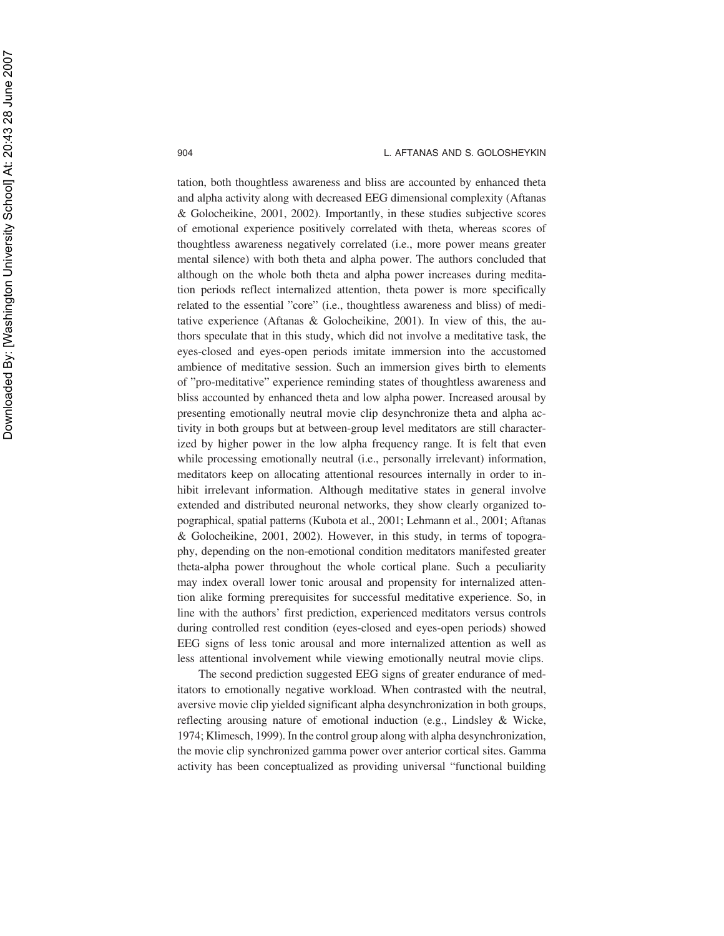tation, both thoughtless awareness and bliss are accounted by enhanced theta and alpha activity along with decreased EEG dimensional complexity (Aftanas & Golocheikine, 2001, 2002). Importantly, in these studies subjective scores of emotional experience positively correlated with theta, whereas scores of thoughtless awareness negatively correlated (i.e., more power means greater mental silence) with both theta and alpha power. The authors concluded that although on the whole both theta and alpha power increases during meditation periods reflect internalized attention, theta power is more specifically related to the essential "core" (i.e., thoughtless awareness and bliss) of meditative experience (Aftanas & Golocheikine, 2001). In view of this, the authors speculate that in this study, which did not involve a meditative task, the eyes-closed and eyes-open periods imitate immersion into the accustomed ambience of meditative session. Such an immersion gives birth to elements of "pro-meditative" experience reminding states of thoughtless awareness and bliss accounted by enhanced theta and low alpha power. Increased arousal by presenting emotionally neutral movie clip desynchronize theta and alpha activity in both groups but at between-group level meditators are still characterized by higher power in the low alpha frequency range. It is felt that even while processing emotionally neutral (i.e., personally irrelevant) information, meditators keep on allocating attentional resources internally in order to inhibit irrelevant information. Although meditative states in general involve extended and distributed neuronal networks, they show clearly organized topographical, spatial patterns (Kubota et al., 2001; Lehmann et al., 2001; Aftanas & Golocheikine, 2001, 2002). However, in this study, in terms of topography, depending on the non-emotional condition meditators manifested greater theta-alpha power throughout the whole cortical plane. Such a peculiarity may index overall lower tonic arousal and propensity for internalized attention alike forming prerequisites for successful meditative experience. So, in line with the authors' first prediction, experienced meditators versus controls during controlled rest condition (eyes-closed and eyes-open periods) showed EEG signs of less tonic arousal and more internalized attention as well as less attentional involvement while viewing emotionally neutral movie clips.

The second prediction suggested EEG signs of greater endurance of meditators to emotionally negative workload. When contrasted with the neutral, aversive movie clip yielded significant alpha desynchronization in both groups, reflecting arousing nature of emotional induction (e.g., Lindsley & Wicke, 1974; Klimesch, 1999). In the control group along with alpha desynchronization, the movie clip synchronized gamma power over anterior cortical sites. Gamma activity has been conceptualized as providing universal "functional building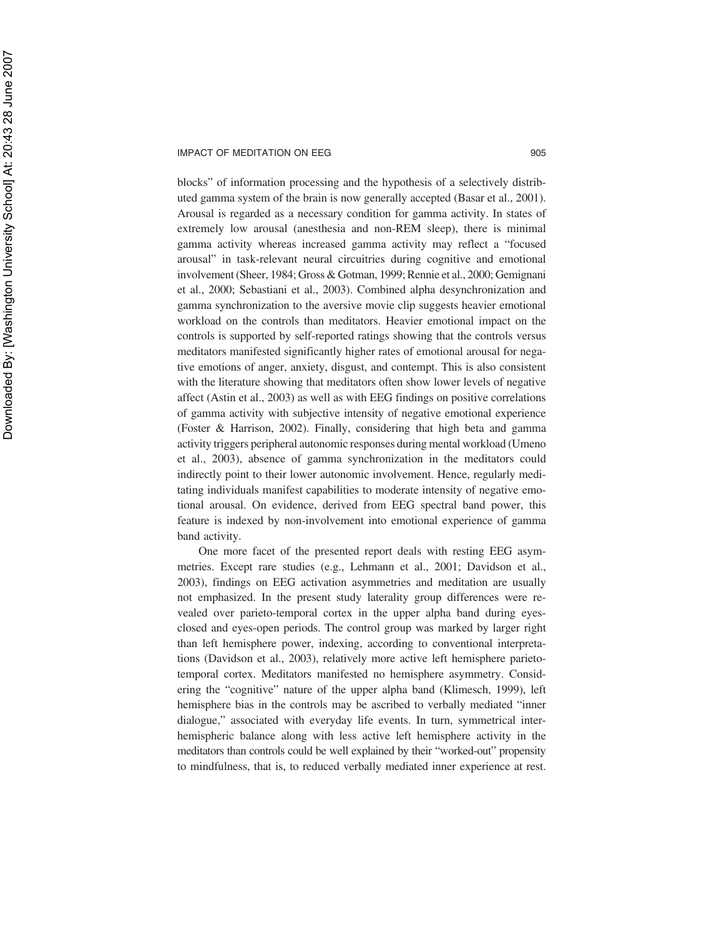blocks" of information processing and the hypothesis of a selectively distributed gamma system of the brain is now generally accepted (Basar et al., 2001). Arousal is regarded as a necessary condition for gamma activity. In states of extremely low arousal (anesthesia and non-REM sleep), there is minimal gamma activity whereas increased gamma activity may reflect a "focused arousal" in task-relevant neural circuitries during cognitive and emotional involvement (Sheer, 1984; Gross & Gotman, 1999; Rennie et al., 2000; Gemignani et al., 2000; Sebastiani et al., 2003). Combined alpha desynchronization and gamma synchronization to the aversive movie clip suggests heavier emotional workload on the controls than meditators. Heavier emotional impact on the controls is supported by self-reported ratings showing that the controls versus meditators manifested significantly higher rates of emotional arousal for negative emotions of anger, anxiety, disgust, and contempt. This is also consistent with the literature showing that meditators often show lower levels of negative affect (Astin et al., 2003) as well as with EEG findings on positive correlations of gamma activity with subjective intensity of negative emotional experience (Foster & Harrison, 2002). Finally, considering that high beta and gamma activity triggers peripheral autonomic responses during mental workload (Umeno et al., 2003), absence of gamma synchronization in the meditators could indirectly point to their lower autonomic involvement. Hence, regularly meditating individuals manifest capabilities to moderate intensity of negative emotional arousal. On evidence, derived from EEG spectral band power, this feature is indexed by non-involvement into emotional experience of gamma band activity.

One more facet of the presented report deals with resting EEG asymmetries. Except rare studies (e.g., Lehmann et al., 2001; Davidson et al., 2003), findings on EEG activation asymmetries and meditation are usually not emphasized. In the present study laterality group differences were revealed over parieto-temporal cortex in the upper alpha band during eyesclosed and eyes-open periods. The control group was marked by larger right than left hemisphere power, indexing, according to conventional interpretations (Davidson et al., 2003), relatively more active left hemisphere parietotemporal cortex. Meditators manifested no hemisphere asymmetry. Considering the "cognitive" nature of the upper alpha band (Klimesch, 1999), left hemisphere bias in the controls may be ascribed to verbally mediated "inner dialogue," associated with everyday life events. In turn, symmetrical interhemispheric balance along with less active left hemisphere activity in the meditators than controls could be well explained by their "worked-out" propensity to mindfulness, that is, to reduced verbally mediated inner experience at rest.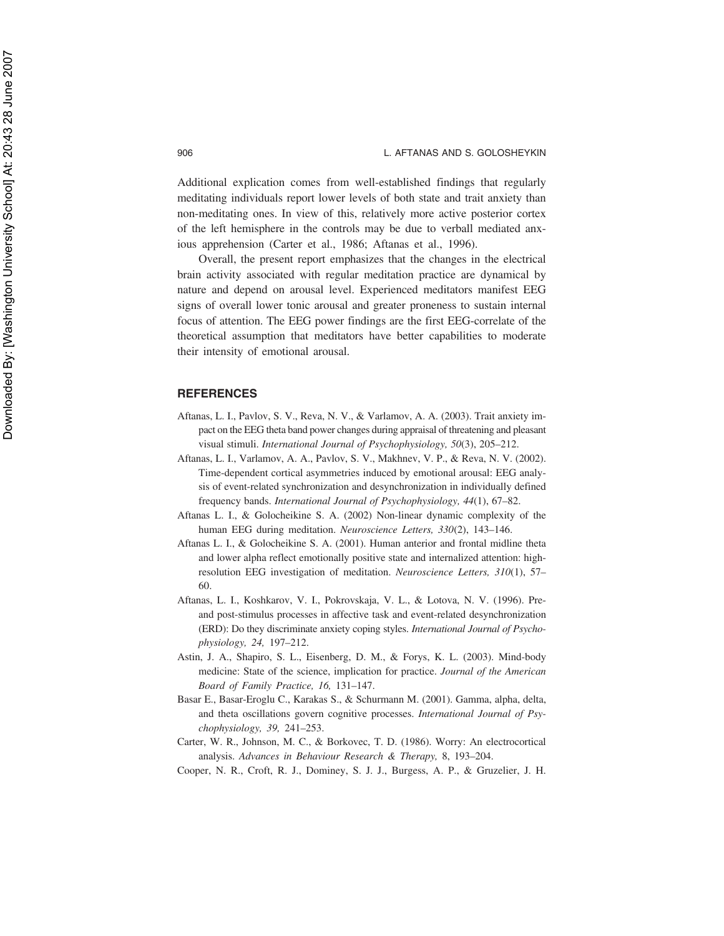Additional explication comes from well-established findings that regularly meditating individuals report lower levels of both state and trait anxiety than non-meditating ones. In view of this, relatively more active posterior cortex of the left hemisphere in the controls may be due to verball mediated anxious apprehension (Carter et al., 1986; Aftanas et al., 1996).

Overall, the present report emphasizes that the changes in the electrical brain activity associated with regular meditation practice are dynamical by nature and depend on arousal level. Experienced meditators manifest EEG signs of overall lower tonic arousal and greater proneness to sustain internal focus of attention. The EEG power findings are the first EEG-correlate of the theoretical assumption that meditators have better capabilities to moderate their intensity of emotional arousal.

## **REFERENCES**

- Aftanas, L. I., Pavlov, S. V., Reva, N. V., & Varlamov, A. A. (2003). Trait anxiety impact on the EEG theta band power changes during appraisal of threatening and pleasant visual stimuli. *International Journal of Psychophysiology, 50*(3), 205–212.
- Aftanas, L. I., Varlamov, A. A., Pavlov, S. V., Makhnev, V. P., & Reva, N. V. (2002). Time-dependent cortical asymmetries induced by emotional arousal: EEG analysis of event-related synchronization and desynchronization in individually defined frequency bands. *International Journal of Psychophysiology, 44*(1), 67–82.
- Aftanas L. I., & Golocheikine S. A. (2002) Non-linear dynamic complexity of the human EEG during meditation. *Neuroscience Letters, 330*(2), 143–146.
- Aftanas L. I., & Golocheikine S. A. (2001). Human anterior and frontal midline theta and lower alpha reflect emotionally positive state and internalized attention: highresolution EEG investigation of meditation. *Neuroscience Letters, 310*(1), 57– 60.
- Aftanas, L. I., Koshkarov, V. I., Pokrovskaja, V. L., & Lotova, N. V. (1996). Preand post-stimulus processes in affective task and event-related desynchronization (ERD): Do they discriminate anxiety coping styles. *International Journal of Psychophysiology, 24,* 197–212.
- Astin, J. A., Shapiro, S. L., Eisenberg, D. M., & Forys, K. L. (2003). Mind-body medicine: State of the science, implication for practice. *Journal of the American Board of Family Practice, 16,* 131–147.
- Basar E., Basar-Eroglu C., Karakas S., & Schurmann M. (2001). Gamma, alpha, delta, and theta oscillations govern cognitive processes. *International Journal of Psychophysiology, 39,* 241–253.
- Carter, W. R., Johnson, M. C., & Borkovec, T. D. (1986). Worry: An electrocortical analysis. *Advances in Behaviour Research & Therapy,* 8, 193–204.
- Cooper, N. R., Croft, R. J., Dominey, S. J. J., Burgess, A. P., & Gruzelier, J. H.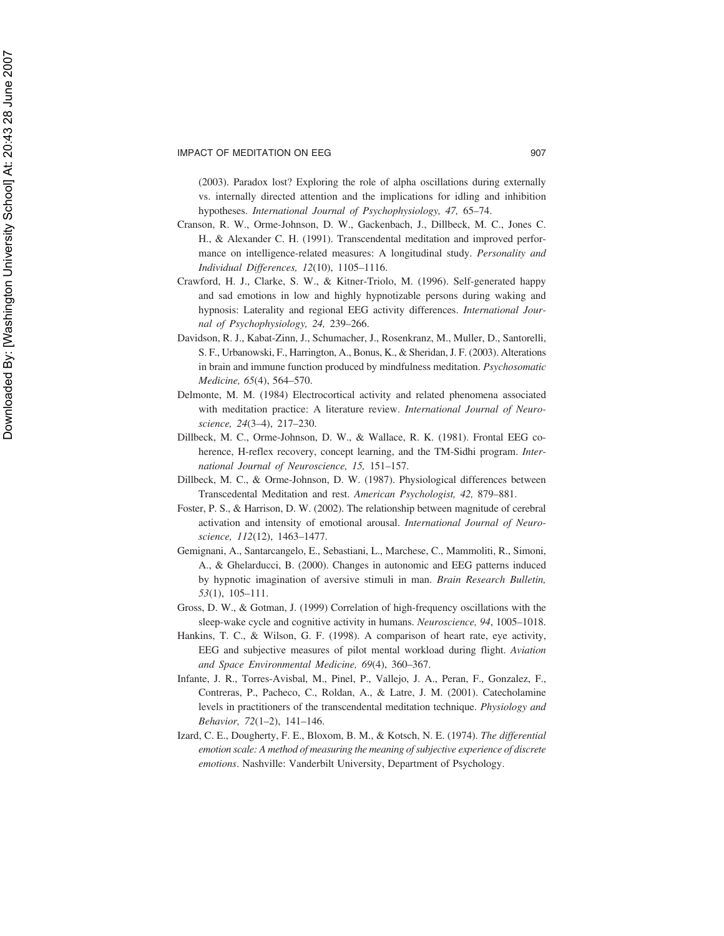(2003). Paradox lost? Exploring the role of alpha oscillations during externally vs. internally directed attention and the implications for idling and inhibition hypotheses. *International Journal of Psychophysiology, 47,* 65–74.

- Cranson, R. W., Orme-Johnson, D. W., Gackenbach, J., Dillbeck, M. C., Jones C. H., & Alexander C. H. (1991). Transcendental meditation and improved performance on intelligence-related measures: A longitudinal study. *Personality and Individual Differences, 12*(10), 1105–1116.
- Crawford, H. J., Clarke, S. W., & Kitner-Triolo, M. (1996). Self-generated happy and sad emotions in low and highly hypnotizable persons during waking and hypnosis: Laterality and regional EEG activity differences. *International Journal of Psychophysiology, 24,* 239–266.
- Davidson, R. J., Kabat-Zinn, J., Schumacher, J., Rosenkranz, M., Muller, D., Santorelli, S. F., Urbanowski, F., Harrington, A., Bonus, K., & Sheridan, J. F. (2003). Alterations in brain and immune function produced by mindfulness meditation. *Psychosomatic Medicine, 65*(4), 564–570.
- Delmonte, M. M. (1984) Electrocortical activity and related phenomena associated with meditation practice: A literature review. *International Journal of Neuroscience, 24*(3–4), 217–230.
- Dillbeck, M. C., Orme-Johnson, D. W., & Wallace, R. K. (1981). Frontal EEG coherence, H-reflex recovery, concept learning, and the TM-Sidhi program. *International Journal of Neuroscience, 15,* 151–157.
- Dillbeck, M. C., & Orme-Johnson, D. W. (1987). Physiological differences between Transcedental Meditation and rest. *American Psychologist, 42,* 879–881.
- Foster, P. S., & Harrison, D. W. (2002). The relationship between magnitude of cerebral activation and intensity of emotional arousal. *International Journal of Neuroscience, 112*(12), 1463–1477.
- Gemignani, A., Santarcangelo, E., Sebastiani, L., Marchese, C., Mammoliti, R., Simoni, A., & Ghelarducci, B. (2000). Changes in autonomic and EEG patterns induced by hypnotic imagination of aversive stimuli in man. *Brain Research Bulletin, 53*(1), 105–111.
- Gross, D. W., & Gotman, J. (1999) Correlation of high-frequency oscillations with the sleep-wake cycle and cognitive activity in humans. *Neuroscience, 94*, 1005–1018.
- Hankins, T. C., & Wilson, G. F. (1998). A comparison of heart rate, eye activity, EEG and subjective measures of pilot mental workload during flight. *Aviation and Space Environmental Medicine, 69*(4), 360–367.
- Infante, J. R., Torres-Avisbal, M., Pinel, P., Vallejo, J. A., Peran, F., Gonzalez, F., Contreras, P., Pacheco, C., Roldan, A., & Latre, J. M. (2001). Catecholamine levels in practitioners of the transcendental meditation technique. *Physiology and Behavior, 72*(1–2), 141–146.
- Izard, C. E., Dougherty, F. E., Bloxom, B. M., & Kotsch, N. E. (1974). *The differential emotion scale: A method of measuring the meaning of subjective experience of discrete emotions*. Nashville: Vanderbilt University, Department of Psychology.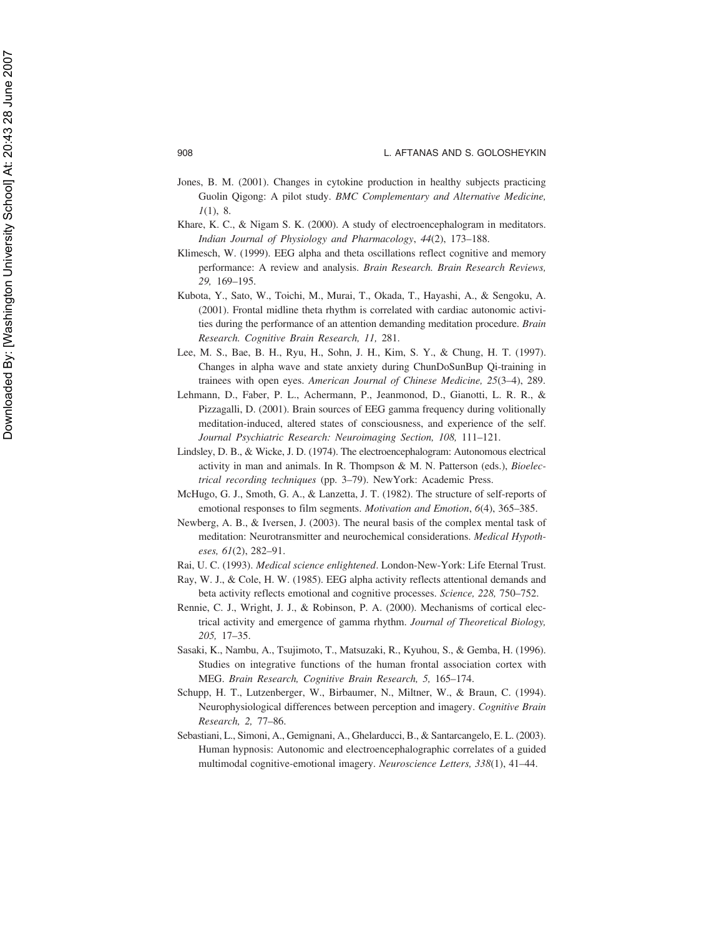- Jones, B. M. (2001). Changes in cytokine production in healthy subjects practicing Guolin Qigong: A pilot study. *BMC Complementary and Alternative Medicine, 1*(1), 8.
- Khare, K. C., & Nigam S. K. (2000). A study of electroencephalogram in meditators. *Indian Journal of Physiology and Pharmacology*, *44*(2), 173–188.
- Klimesch, W. (1999). EEG alpha and theta oscillations reflect cognitive and memory performance: A review and analysis. *Brain Research. Brain Research Reviews, 29,* 169–195.
- Kubota, Y., Sato, W., Toichi, M., Murai, T., Okada, T., Hayashi, A., & Sengoku, A. (2001). Frontal midline theta rhythm is correlated with cardiac autonomic activities during the performance of an attention demanding meditation procedure. *Brain Research. Cognitive Brain Research, 11,* 281.
- Lee, M. S., Bae, B. H., Ryu, H., Sohn, J. H., Kim, S. Y., & Chung, H. T. (1997). Changes in alpha wave and state anxiety during ChunDoSunBup Qi-training in trainees with open eyes. *American Journal of Chinese Medicine, 25*(3–4), 289.
- Lehmann, D., Faber, P. L., Achermann, P., Jeanmonod, D., Gianotti, L. R. R., & Pizzagalli, D. (2001). Brain sources of EEG gamma frequency during volitionally meditation-induced, altered states of consciousness, and experience of the self. *Journal Psychiatric Research: Neuroimaging Section, 108,* 111–121.
- Lindsley, D. B., & Wicke, J. D. (1974). The electroencephalogram: Autonomous electrical activity in man and animals. In R. Thompson & M. N. Patterson (eds.), *Bioelectrical recording techniques* (pp. 3–79). NewYork: Academic Press.
- McHugo, G. J., Smoth, G. A., & Lanzetta, J. T. (1982). The structure of self-reports of emotional responses to film segments. *Motivation and Emotion*, *6*(4), 365–385.
- Newberg, A. B., & Iversen, J. (2003). The neural basis of the complex mental task of meditation: Neurotransmitter and neurochemical considerations. *Medical Hypotheses, 61*(2), 282–91.
- Rai, U. C. (1993). *Medical science enlightened*. London-New-York: Life Eternal Trust.
- Ray, W. J., & Cole, H. W. (1985). EEG alpha activity reflects attentional demands and beta activity reflects emotional and cognitive processes. *Science, 228,* 750–752.
- Rennie, C. J., Wright, J. J., & Robinson, P. A. (2000). Mechanisms of cortical electrical activity and emergence of gamma rhythm. *Journal of Theoretical Biology, 205,* 17–35.
- Sasaki, K., Nambu, A., Tsujimoto, T., Matsuzaki, R., Kyuhou, S., & Gemba, H. (1996). Studies on integrative functions of the human frontal association cortex with MEG. *Brain Research, Cognitive Brain Research, 5,* 165–174.
- Schupp, H. T., Lutzenberger, W., Birbaumer, N., Miltner, W., & Braun, C. (1994). Neurophysiological differences between perception and imagery. *Cognitive Brain Research, 2,* 77–86.
- Sebastiani, L., Simoni, A., Gemignani, A., Ghelarducci, B., & Santarcangelo, E. L. (2003). Human hypnosis: Autonomic and electroencephalographic correlates of a guided multimodal cognitive-emotional imagery. *Neuroscience Letters, 338*(1), 41–44.